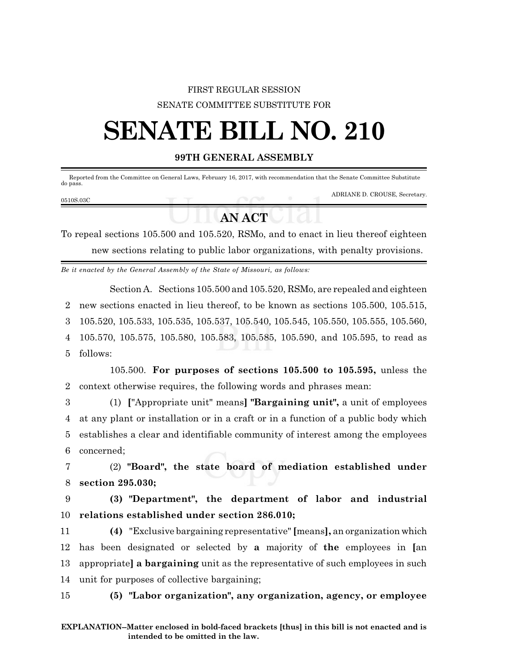## FIRST REGULAR SESSION SENATE COMMITTEE SUBSTITUTE FOR

## **SENATE BILL NO. 210**

## **99TH GENERAL ASSEMBLY**

 Reported from the Committee on General Laws, February 16, 2017, with recommendation that the Senate Committee Substitute do pass.

0510S.03C

ADRIANE D. CROUSE, Secretary.

## **AN ACT**

To repeal sections 105.500 and 105.520, RSMo, and to enact in lieu thereof eighteen new sections relating to public labor organizations, with penalty provisions.

*Be it enacted by the General Assembly of the State of Missouri, as follows:*

Section A. Sections 105.500 and 105.520, RSMo, are repealed and eighteen

2 new sections enacted in lieu thereof, to be known as sections 105.500, 105.515,

3 105.520, 105.533, 105.535, 105.537, 105.540, 105.545, 105.550, 105.555, 105.560,

4 105.570, 105.575, 105.580, 105.583, 105.585, 105.590, and 105.595, to read as 5 follows:

105.500. **For purposes of sections 105.500 to 105.595,** unless the 2 context otherwise requires, the following words and phrases mean:

 (1) **[**"Appropriate unit" means**] "Bargaining unit",** a unit of employees at any plant or installation or in a craft or in a function of a public body which establishes a clear and identifiable community of interest among the employees concerned;

7 (2) **"Board", the state board of mediation established under** 8 **section 295.030;**

9 **(3) "Department", the department of labor and industrial** 10 **relations established under section 286.010;**

 **(4)** "Exclusive bargaining representative" **[**means**],** an organization which has been designated or selected by **a** majority of **the** employees in **[**an appropriate**] a bargaining** unit as the representative of such employees in such unit for purposes of collective bargaining;

15 **(5) "Labor organization", any organization, agency, or employee**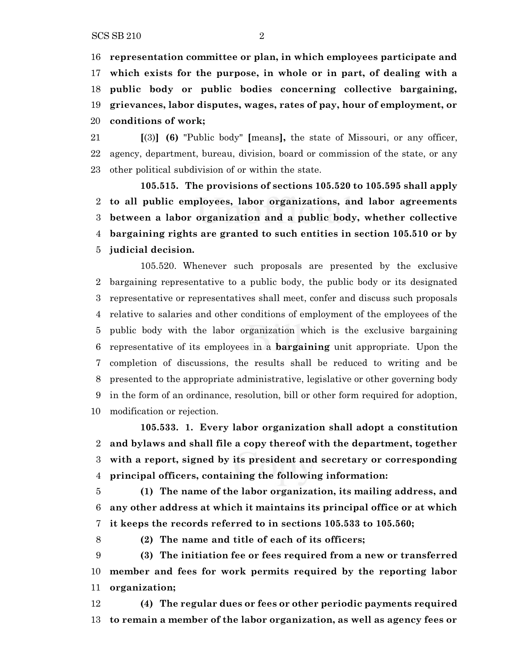**representation committee or plan, in which employees participate and which exists for the purpose, in whole or in part, of dealing with a public body or public bodies concerning collective bargaining, grievances, labor disputes, wages, rates of pay, hour of employment, or conditions of work;**

 **[**(3)**] (6)** "Public body" **[**means**],** the state of Missouri, or any officer, agency, department, bureau, division, board or commission of the state, or any other political subdivision of or within the state.

**105.515. The provisions of sections 105.520 to 105.595 shall apply to all public employees, labor organizations, and labor agreements between a labor organization and a public body, whether collective bargaining rights are granted to such entities in section 105.510 or by judicial decision.**

105.520. Whenever such proposals are presented by the exclusive bargaining representative to a public body, the public body or its designated representative or representatives shall meet, confer and discuss such proposals relative to salaries and other conditions of employment of the employees of the public body with the labor organization which is the exclusive bargaining representative of its employees in a **bargaining** unit appropriate. Upon the completion of discussions, the results shall be reduced to writing and be presented to the appropriate administrative, legislative or other governing body in the form of an ordinance, resolution, bill or other form required for adoption, modification or rejection.

**105.533. 1. Every labor organization shall adopt a constitution and bylaws and shall file a copy thereof with the department, together with a report, signed by its president and secretary or corresponding principal officers, containing the following information:**

 **(1) The name of the labor organization, its mailing address, and any other address at which it maintains its principal office or at which it keeps the records referred to in sections 105.533 to 105.560;**

**(2) The name and title of each of its officers;**

 **(3) The initiation fee or fees required from a new or transferred member and fees for work permits required by the reporting labor organization;**

 **(4) The regular dues or fees or other periodic payments required to remain a member of the labor organization, as well as agency fees or**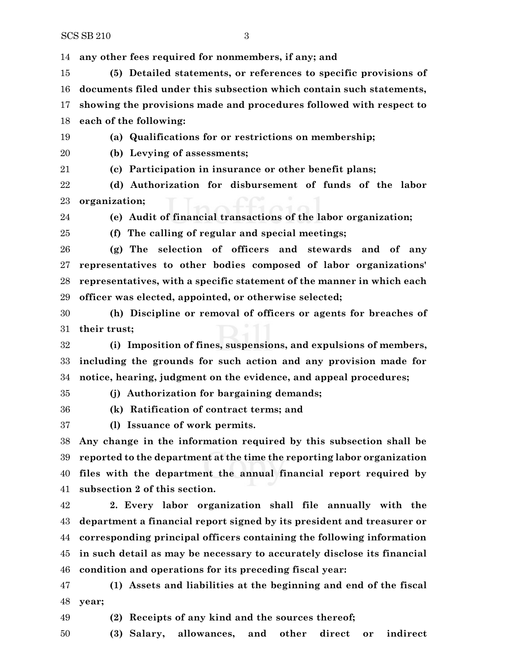**any other fees required for nonmembers, if any; and**

 **(5) Detailed statements, or references to specific provisions of documents filed under this subsection which contain such statements, showing the provisions made and procedures followed with respect to each of the following:**

**(a) Qualifications for or restrictions on membership;**

**(b) Levying of assessments;**

**(c) Participation in insurance or other benefit plans;**

 **(d) Authorization for disbursement of funds of the labor organization;**

**(e) Audit of financial transactions of the labor organization;**

**(f) The calling of regular and special meetings;**

 **(g) The selection of officers and stewards and of any representatives to other bodies composed of labor organizations' representatives, with a specific statement of the manner in which each officer was elected, appointed, or otherwise selected;**

 **(h) Discipline or removal of officers or agents for breaches of their trust;**

 **(i) Imposition of fines, suspensions, and expulsions of members, including the grounds for such action and any provision made for notice, hearing, judgment on the evidence, and appeal procedures;**

**(j) Authorization for bargaining demands;**

**(k) Ratification of contract terms; and**

**(l) Issuance of work permits.**

 **Any change in the information required by this subsection shall be reported to the department at the time the reporting labor organization files with the department the annual financial report required by subsection 2 of this section.**

 **2. Every labor organization shall file annually with the department a financial report signed by its president and treasurer or corresponding principal officers containing the following information in such detail as may be necessary to accurately disclose its financial condition and operations for its preceding fiscal year:**

 **(1) Assets and liabilities at the beginning and end of the fiscal year;**

**(2) Receipts of any kind and the sources thereof;**

**(3) Salary, allowances, and other direct or indirect**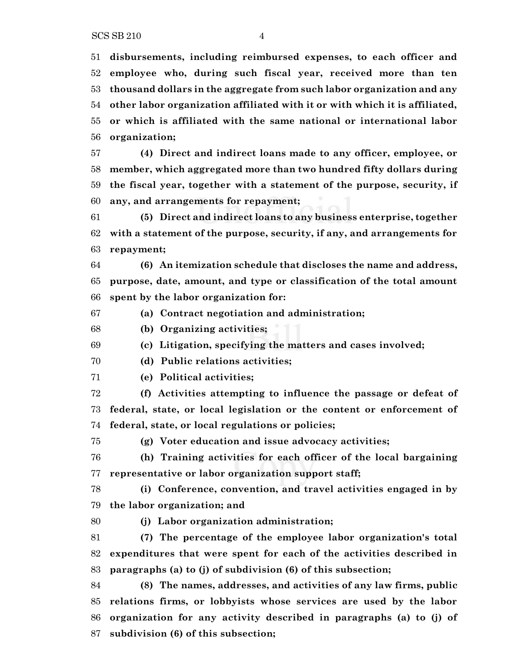**disbursements, including reimbursed expenses, to each officer and employee who, during such fiscal year, received more than ten thousand dollars in the aggregate from such labor organization and any other labor organization affiliated with it or with which it is affiliated, or which is affiliated with the same national or international labor organization;**

 **(4) Direct and indirect loans made to any officer, employee, or member, which aggregated more than two hundred fifty dollars during the fiscal year, together with a statement of the purpose, security, if any, and arrangements for repayment;**

 **(5) Direct and indirect loans to any business enterprise, together with a statement of the purpose, security, if any, and arrangements for repayment;**

 **(6) An itemization schedule that discloses the name and address, purpose, date, amount, and type or classification of the total amount spent by the labor organization for:**

**(a) Contract negotiation and administration;**

**(b) Organizing activities;**

**(c) Litigation, specifying the matters and cases involved;**

**(d) Public relations activities;**

**(e) Political activities;**

 **(f) Activities attempting to influence the passage or defeat of federal, state, or local legislation or the content or enforcement of federal, state, or local regulations or policies;**

**(g) Voter education and issue advocacy activities;**

 **(h) Training activities for each officer of the local bargaining representative or labor organization support staff;**

 **(i) Conference, convention, and travel activities engaged in by the labor organization; and**

**(j) Labor organization administration;**

 **(7) The percentage of the employee labor organization's total expenditures that were spent for each of the activities described in paragraphs (a) to (j) of subdivision (6) of this subsection;**

 **(8) The names, addresses, and activities of any law firms, public relations firms, or lobbyists whose services are used by the labor organization for any activity described in paragraphs (a) to (j) of subdivision (6) of this subsection;**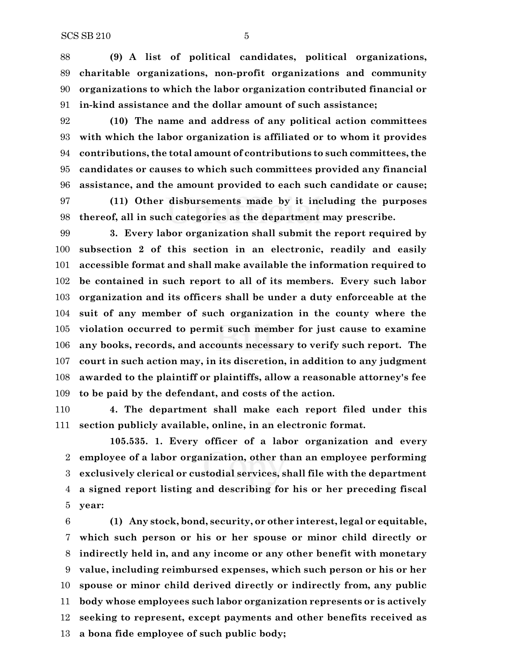**(9) A list of political candidates, political organizations, charitable organizations, non-profit organizations and community organizations to which the labor organization contributed financial or in-kind assistance and the dollar amount of such assistance;**

 **(10) The name and address of any political action committees with which the labor organization is affiliated or to whom it provides contributions, the total amount of contributions to such committees, the candidates or causes to which such committees provided any financial assistance, and the amount provided to each such candidate or cause;**

 **(11) Other disbursements made by it including the purposes thereof, all in such categories as the department may prescribe.**

 **3. Every labor organization shall submit the report required by subsection 2 of this section in an electronic, readily and easily accessible format and shall make available the information required to be contained in such report to all of its members. Every such labor organization and its officers shall be under a duty enforceable at the suit of any member of such organization in the county where the violation occurred to permit such member for just cause to examine any books, records, and accounts necessary to verify such report. The court in such action may, in its discretion, in addition to any judgment awarded to the plaintiff or plaintiffs, allow a reasonable attorney's fee to be paid by the defendant, and costs of the action.**

 **4. The department shall make each report filed under this section publicly available, online, in an electronic format.**

**105.535. 1. Every officer of a labor organization and every employee of a labor organization, other than an employee performing exclusively clerical or custodial services, shall file with the department a signed report listing and describing for his or her preceding fiscal year:**

 **(1) Any stock, bond, security, or other interest, legal or equitable, which such person or his or her spouse or minor child directly or indirectly held in, and any income or any other benefit with monetary value, including reimbursed expenses, which such person or his or her spouse or minor child derived directly or indirectly from, any public body whose employees such labor organization represents or is actively seeking to represent, except payments and other benefits received as a bona fide employee of such public body;**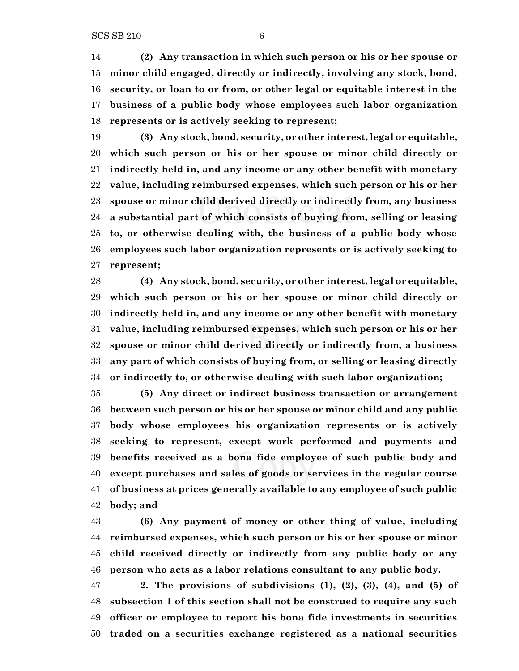**(2) Any transaction in which such person or his or her spouse or minor child engaged, directly or indirectly, involving any stock, bond, security, or loan to or from, or other legal or equitable interest in the business of a public body whose employees such labor organization represents or is actively seeking to represent;**

 **(3) Any stock, bond, security, or other interest, legal or equitable, which such person or his or her spouse or minor child directly or indirectly held in, and any income or any other benefit with monetary value, including reimbursed expenses, which such person or his or her spouse or minor child derived directly or indirectly from, any business a substantial part of which consists of buying from, selling or leasing to, or otherwise dealing with, the business of a public body whose employees such labor organization represents or is actively seeking to represent;**

 **(4) Any stock, bond, security, or other interest, legal or equitable, which such person or his or her spouse or minor child directly or indirectly held in, and any income or any other benefit with monetary value, including reimbursed expenses, which such person or his or her spouse or minor child derived directly or indirectly from, a business any part of which consists of buying from, or selling or leasing directly or indirectly to, or otherwise dealing with such labor organization;**

 **(5) Any direct or indirect business transaction or arrangement between such person or his or her spouse or minor child and any public body whose employees his organization represents or is actively seeking to represent, except work performed and payments and benefits received as a bona fide employee of such public body and except purchases and sales of goods or services in the regular course of business at prices generally available to any employee of such public body; and**

 **(6) Any payment of money or other thing of value, including reimbursed expenses, which such person or his or her spouse or minor child received directly or indirectly from any public body or any person who acts as a labor relations consultant to any public body.**

 **2. The provisions of subdivisions (1), (2), (3), (4), and (5) of subsection 1 of this section shall not be construed to require any such officer or employee to report his bona fide investments in securities traded on a securities exchange registered as a national securities**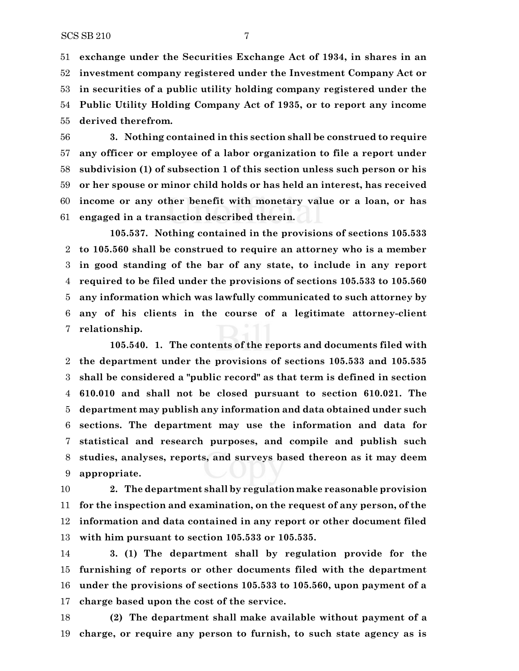**exchange under the Securities Exchange Act of 1934, in shares in an investment company registered under the Investment Company Act or in securities of a public utility holding company registered under the Public Utility Holding Company Act of 1935, or to report any income derived therefrom.**

 **3. Nothing contained in this section shall be construed to require any officer or employee of a labor organization to file a report under subdivision (1) of subsection 1 of this section unless such person or his or her spouse or minor child holds or has held an interest, has received income or any other benefit with monetary value or a loan, or has engaged in a transaction described therein.**

**105.537. Nothing contained in the provisions of sections 105.533 to 105.560 shall be construed to require an attorney who is a member in good standing of the bar of any state, to include in any report required to be filed under the provisions of sections 105.533 to 105.560 any information which was lawfully communicated to such attorney by any of his clients in the course of a legitimate attorney-client relationship.**

**105.540. 1. The contents of the reports and documents filed with the department under the provisions of sections 105.533 and 105.535 shall be considered a "public record" as that term is defined in section 610.010 and shall not be closed pursuant to section 610.021. The department may publish any information and data obtained under such sections. The department may use the information and data for statistical and research purposes, and compile and publish such studies, analyses, reports, and surveys based thereon as it may deem appropriate.**

 **2. The department shall by regulation make reasonable provision for the inspection and examination, on the request of any person, of the information and data contained in any report or other document filed with him pursuant to section 105.533 or 105.535.**

 **3. (1) The department shall by regulation provide for the furnishing of reports or other documents filed with the department under the provisions of sections 105.533 to 105.560, upon payment of a charge based upon the cost of the service.**

 **(2) The department shall make available without payment of a charge, or require any person to furnish, to such state agency as is**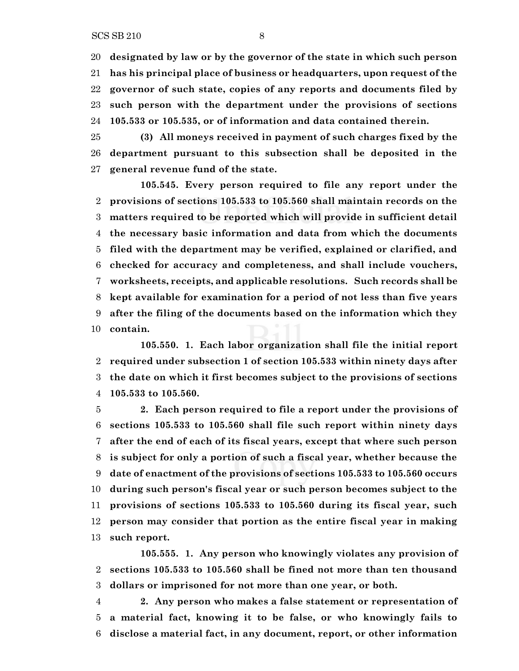**designated by law or by the governor of the state in which such person has his principal place of business or headquarters, upon request of the governor of such state, copies of any reports and documents filed by such person with the department under the provisions of sections 105.533 or 105.535, or of information and data contained therein.**

 **(3) All moneys received in payment of such charges fixed by the department pursuant to this subsection shall be deposited in the general revenue fund of the state.**

**105.545. Every person required to file any report under the provisions of sections 105.533 to 105.560 shall maintain records on the matters required to be reported which will provide in sufficient detail the necessary basic information and data from which the documents filed with the department may be verified, explained or clarified, and checked for accuracy and completeness, and shall include vouchers, worksheets, receipts, and applicable resolutions. Such records shall be kept available for examination for a period of not less than five years after the filing of the documents based on the information which they contain.**

**105.550. 1. Each labor organization shall file the initial report required under subsection 1 of section 105.533 within ninety days after the date on which it first becomes subject to the provisions of sections 105.533 to 105.560.**

 **2. Each person required to file a report under the provisions of sections 105.533 to 105.560 shall file such report within ninety days after the end of each of its fiscal years, except that where such person is subject for only a portion of such a fiscal year, whether because the date of enactment of the provisions of sections 105.533 to 105.560 occurs during such person's fiscal year or such person becomes subject to the provisions of sections 105.533 to 105.560 during its fiscal year, such person may consider that portion as the entire fiscal year in making such report.**

**105.555. 1. Any person who knowingly violates any provision of sections 105.533 to 105.560 shall be fined not more than ten thousand dollars or imprisoned for not more than one year, or both.**

 **2. Any person who makes a false statement or representation of a material fact, knowing it to be false, or who knowingly fails to disclose a material fact, in any document, report, or other information**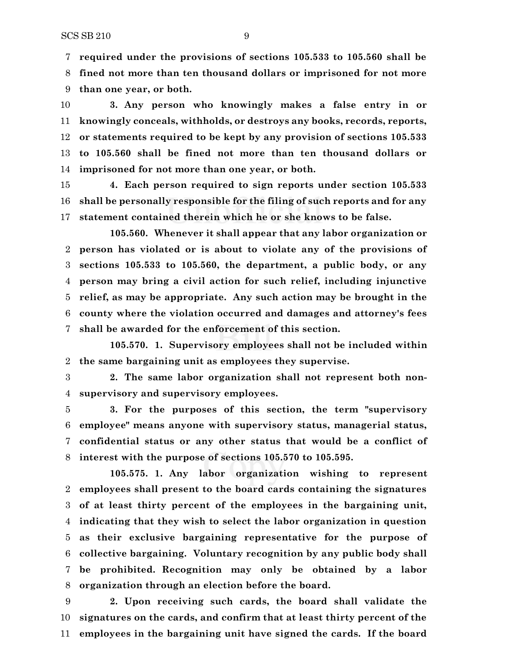**required under the provisions of sections 105.533 to 105.560 shall be**

 **fined not more than ten thousand dollars or imprisoned for not more than one year, or both.**

 **3. Any person who knowingly makes a false entry in or knowingly conceals, withholds, or destroys any books, records, reports, or statements required to be kept by any provision of sections 105.533 to 105.560 shall be fined not more than ten thousand dollars or imprisoned for not more than one year, or both.**

 **4. Each person required to sign reports under section 105.533 shall be personally responsible for the filing of such reports and for any statement contained therein which he or she knows to be false.**

**105.560. Whenever it shall appear that any labor organization or person has violated or is about to violate any of the provisions of sections 105.533 to 105.560, the department, a public body, or any person may bring a civil action for such relief, including injunctive relief, as may be appropriate. Any such action may be brought in the county where the violation occurred and damages and attorney's fees shall be awarded for the enforcement of this section.**

**105.570. 1. Supervisory employees shall not be included within the same bargaining unit as employees they supervise.**

 **2. The same labor organization shall not represent both non-supervisory and supervisory employees.**

 **3. For the purposes of this section, the term "supervisory employee" means anyone with supervisory status, managerial status, confidential status or any other status that would be a conflict of interest with the purpose of sections 105.570 to 105.595.**

**105.575. 1. Any labor organization wishing to represent employees shall present to the board cards containing the signatures of at least thirty percent of the employees in the bargaining unit, indicating that they wish to select the labor organization in question as their exclusive bargaining representative for the purpose of collective bargaining. Voluntary recognition by any public body shall be prohibited. Recognition may only be obtained by a labor organization through an election before the board.**

 **2. Upon receiving such cards, the board shall validate the signatures on the cards, and confirm that at least thirty percent of the employees in the bargaining unit have signed the cards. If the board**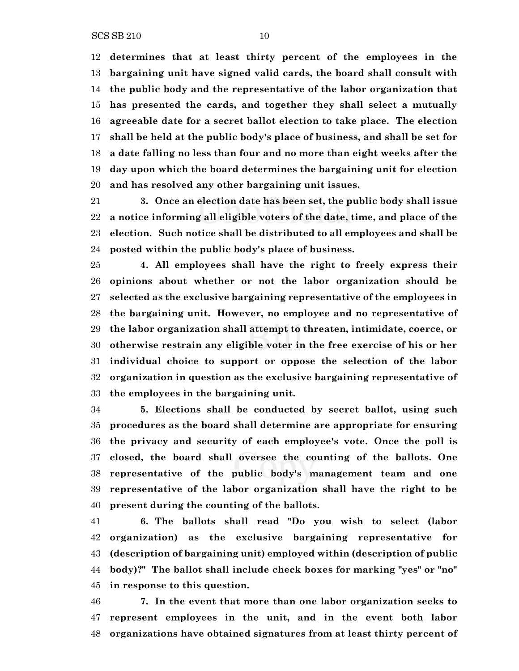**determines that at least thirty percent of the employees in the bargaining unit have signed valid cards, the board shall consult with the public body and the representative of the labor organization that has presented the cards, and together they shall select a mutually agreeable date for a secret ballot election to take place. The election shall be held at the public body's place of business, and shall be set for a date falling no less than four and no more than eight weeks after the day upon which the board determines the bargaining unit for election and has resolved any other bargaining unit issues.**

 **3. Once an election date has been set, the public body shall issue a notice informing all eligible voters of the date, time, and place of the election. Such notice shall be distributed to all employees and shall be posted within the public body's place of business.**

 **4. All employees shall have the right to freely express their opinions about whether or not the labor organization should be selected as the exclusive bargaining representative of the employees in the bargaining unit. However, no employee and no representative of the labor organization shall attempt to threaten, intimidate, coerce, or otherwise restrain any eligible voter in the free exercise of his or her individual choice to support or oppose the selection of the labor organization in question as the exclusive bargaining representative of the employees in the bargaining unit.**

 **5. Elections shall be conducted by secret ballot, using such procedures as the board shall determine are appropriate for ensuring the privacy and security of each employee's vote. Once the poll is closed, the board shall oversee the counting of the ballots. One representative of the public body's management team and one representative of the labor organization shall have the right to be present during the counting of the ballots.**

 **6. The ballots shall read "Do you wish to select (labor organization) as the exclusive bargaining representative for (description of bargaining unit) employed within (description of public body)?" The ballot shall include check boxes for marking "yes" or "no" in response to this question.**

 **7. In the event that more than one labor organization seeks to represent employees in the unit, and in the event both labor organizations have obtained signatures from at least thirty percent of**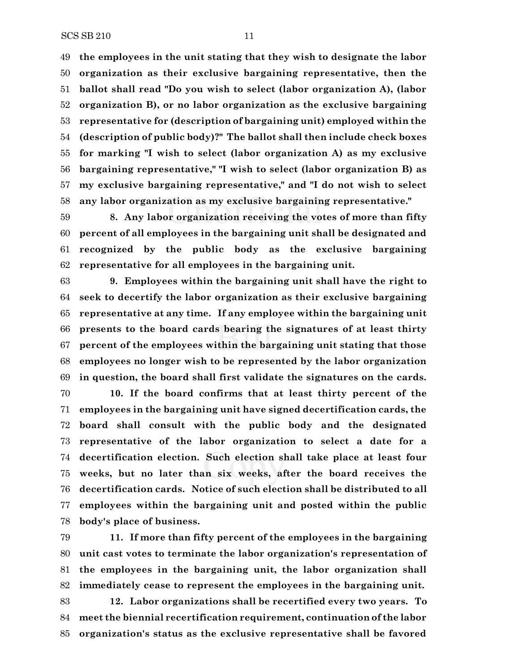**the employees in the unit stating that they wish to designate the labor organization as their exclusive bargaining representative, then the ballot shall read "Do you wish to select (labor organization A), (labor organization B), or no labor organization as the exclusive bargaining representative for (description of bargaining unit) employed within the (description of public body)?" The ballot shall then include check boxes for marking "I wish to select (labor organization A) as my exclusive bargaining representative," "I wish to select (labor organization B) as my exclusive bargaining representative," and "I do not wish to select any labor organization as my exclusive bargaining representative."**

 **8. Any labor organization receiving the votes of more than fifty percent of all employees in the bargaining unit shall be designated and recognized by the public body as the exclusive bargaining representative for all employees in the bargaining unit.**

 **9. Employees within the bargaining unit shall have the right to seek to decertify the labor organization as their exclusive bargaining representative at any time. If any employee within the bargaining unit presents to the board cards bearing the signatures of at least thirty percent of the employees within the bargaining unit stating that those employees no longer wish to be represented by the labor organization in question, the board shall first validate the signatures on the cards.**

 **10. If the board confirms that at least thirty percent of the employees in the bargaining unit have signed decertification cards, the board shall consult with the public body and the designated representative of the labor organization to select a date for a decertification election. Such election shall take place at least four weeks, but no later than six weeks, after the board receives the decertification cards. Notice of such election shall be distributed to all employees within the bargaining unit and posted within the public body's place of business.**

 **11. If more than fifty percent of the employees in the bargaining unit cast votes to terminate the labor organization's representation of the employees in the bargaining unit, the labor organization shall immediately cease to represent the employees in the bargaining unit. 12. Labor organizations shall be recertified every two years. To meet the biennial recertification requirement, continuation of the labor organization's status as the exclusive representative shall be favored**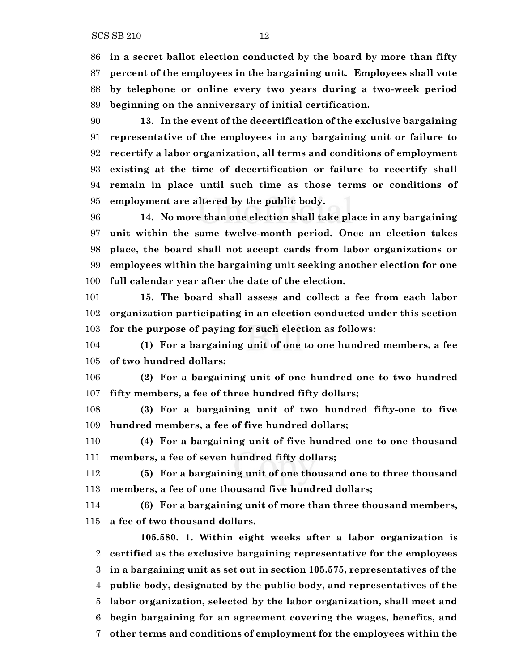**beginning on the anniversary of initial certification.**

 **13. In the event of the decertification of the exclusive bargaining representative of the employees in any bargaining unit or failure to recertify a labor organization, all terms and conditions of employment existing at the time of decertification or failure to recertify shall remain in place until such time as those terms or conditions of employment are altered by the public body.**

 **14. No more than one election shall take place in any bargaining unit within the same twelve-month period. Once an election takes place, the board shall not accept cards from labor organizations or employees within the bargaining unit seeking another election for one full calendar year after the date of the election.**

 **15. The board shall assess and collect a fee from each labor organization participating in an election conducted under this section for the purpose of paying for such election as follows:**

 **(1) For a bargaining unit of one to one hundred members, a fee of two hundred dollars;**

 **(2) For a bargaining unit of one hundred one to two hundred fifty members, a fee of three hundred fifty dollars;**

 **(3) For a bargaining unit of two hundred fifty-one to five hundred members, a fee of five hundred dollars;**

 **(4) For a bargaining unit of five hundred one to one thousand members, a fee of seven hundred fifty dollars;**

 **(5) For a bargaining unit of one thousand one to three thousand members, a fee of one thousand five hundred dollars;**

 **(6) For a bargaining unit of more than three thousand members, a fee of two thousand dollars.**

**105.580. 1. Within eight weeks after a labor organization is certified as the exclusive bargaining representative for the employees in a bargaining unit as set out in section 105.575, representatives of the public body, designated by the public body, and representatives of the labor organization, selected by the labor organization, shall meet and begin bargaining for an agreement covering the wages, benefits, and other terms and conditions of employment for the employees within the**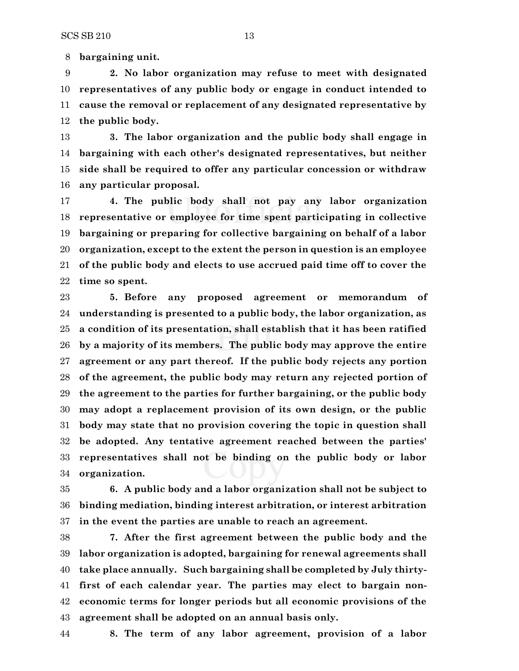**bargaining unit.**

 **2. No labor organization may refuse to meet with designated representatives of any public body or engage in conduct intended to cause the removal or replacement of any designated representative by the public body.**

 **3. The labor organization and the public body shall engage in bargaining with each other's designated representatives, but neither side shall be required to offer any particular concession or withdraw any particular proposal.**

 **4. The public body shall not pay any labor organization representative or employee for time spent participating in collective bargaining or preparing for collective bargaining on behalf of a labor organization, except to the extent the person in question is an employee of the public body and elects to use accrued paid time off to cover the time so spent.**

 **5. Before any proposed agreement or memorandum of understanding is presented to a public body, the labor organization, as a condition of its presentation, shall establish that it has been ratified by a majority of its members. The public body may approve the entire agreement or any part thereof. If the public body rejects any portion of the agreement, the public body may return any rejected portion of the agreement to the parties for further bargaining, or the public body may adopt a replacement provision of its own design, or the public body may state that no provision covering the topic in question shall be adopted. Any tentative agreement reached between the parties' representatives shall not be binding on the public body or labor organization.**

 **6. A public body and a labor organization shall not be subject to binding mediation, binding interest arbitration, or interest arbitration in the event the parties are unable to reach an agreement.**

 **7. After the first agreement between the public body and the labor organization is adopted, bargaining for renewal agreements shall take place annually. Such bargaining shall be completed by July thirty- first of each calendar year. The parties may elect to bargain non- economic terms for longer periods but all economic provisions of the agreement shall be adopted on an annual basis only.**

**8. The term of any labor agreement, provision of a labor**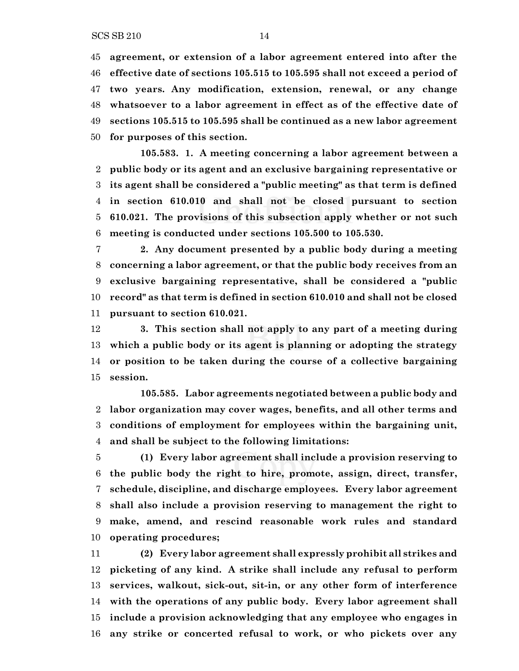SCS SB 210 14

 **effective date of sections 105.515 to 105.595 shall not exceed a period of two years. Any modification, extension, renewal, or any change whatsoever to a labor agreement in effect as of the effective date of sections 105.515 to 105.595 shall be continued as a new labor agreement for purposes of this section.**

**105.583. 1. A meeting concerning a labor agreement between a public body or its agent and an exclusive bargaining representative or its agent shall be considered a "public meeting" as that term is defined in section 610.010 and shall not be closed pursuant to section 610.021. The provisions of this subsection apply whether or not such meeting is conducted under sections 105.500 to 105.530.**

 **2. Any document presented by a public body during a meeting concerning a labor agreement, or that the public body receives from an exclusive bargaining representative, shall be considered a "public record" as that term is defined in section 610.010 and shall not be closed pursuant to section 610.021.**

 **3. This section shall not apply to any part of a meeting during which a public body or its agent is planning or adopting the strategy or position to be taken during the course of a collective bargaining session.**

**105.585. Labor agreements negotiated between a public body and labor organization may cover wages, benefits, and all other terms and conditions of employment for employees within the bargaining unit, and shall be subject to the following limitations:**

 **(1) Every labor agreement shall include a provision reserving to the public body the right to hire, promote, assign, direct, transfer, schedule, discipline, and discharge employees. Every labor agreement shall also include a provision reserving to management the right to make, amend, and rescind reasonable work rules and standard operating procedures;**

 **(2) Every labor agreement shall expressly prohibit all strikes and picketing of any kind. A strike shall include any refusal to perform services, walkout, sick-out, sit-in, or any other form of interference with the operations of any public body. Every labor agreement shall include a provision acknowledging that any employee who engages in any strike or concerted refusal to work, or who pickets over any**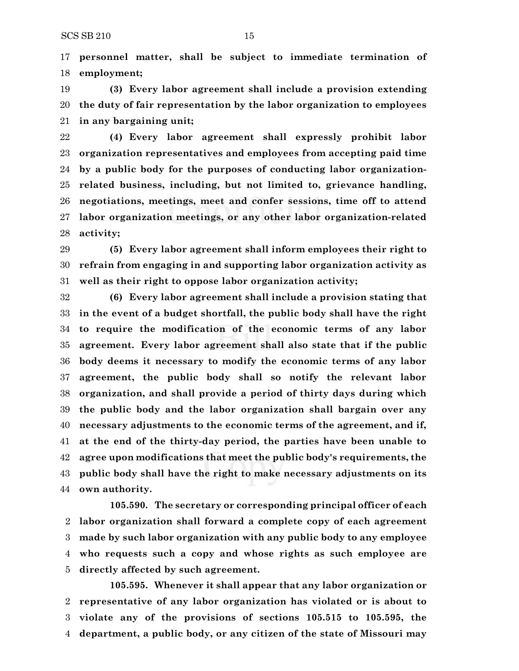**personnel matter, shall be subject to immediate termination of employment;**

 **(3) Every labor agreement shall include a provision extending the duty of fair representation by the labor organization to employees in any bargaining unit;**

 **(4) Every labor agreement shall expressly prohibit labor organization representatives and employees from accepting paid time by a public body for the purposes of conducting labor organization- related business, including, but not limited to, grievance handling, negotiations, meetings, meet and confer sessions, time off to attend labor organization meetings, or any other labor organization-related activity;**

 **(5) Every labor agreement shall inform employees their right to refrain from engaging in and supporting labor organization activity as well as their right to oppose labor organization activity;**

 **(6) Every labor agreement shall include a provision stating that in the event of a budget shortfall, the public body shall have the right to require the modification of the economic terms of any labor agreement. Every labor agreement shall also state that if the public body deems it necessary to modify the economic terms of any labor agreement, the public body shall so notify the relevant labor organization, and shall provide a period of thirty days during which the public body and the labor organization shall bargain over any necessary adjustments to the economic terms of the agreement, and if, at the end of the thirty-day period, the parties have been unable to agree upon modifications that meet the public body's requirements, the public body shall have the right to make necessary adjustments on its own authority.**

**105.590. The secretary or corresponding principal officer of each labor organization shall forward a complete copy of each agreement made by such labor organization with any public body to any employee who requests such a copy and whose rights as such employee are directly affected by such agreement.**

**105.595. Whenever it shall appear that any labor organization or representative of any labor organization has violated or is about to violate any of the provisions of sections 105.515 to 105.595, the department, a public body, or any citizen of the state of Missouri may**